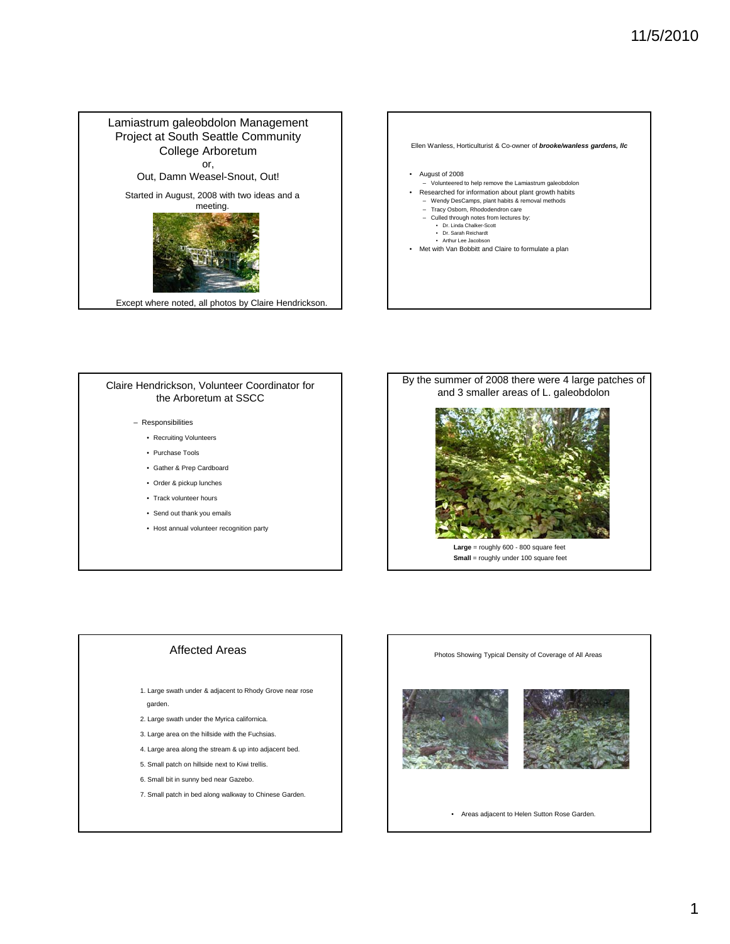

#### Claire Hendrickson, Volunteer Coordinator for the Arboretum at SSCC

#### – Responsibilities

- Recruiting Volunteers
- Purchase Tools
- Gather & Prep Cardboard
- Order & pickup lunches
- Track volunteer hours
- Send out thank you emails
- Host annual volunteer recognition party



#### Affected Areas

- 1. Large swath under & adjacent to Rhody Grove near rose garden.
- 2. Large swath under the Myrica californica.
- 3. Large area on the hillside with the Fuchsias.
- 4. Large area along the stream & up into adjacent bed.
- 5. Small patch on hillside next to Kiwi trellis.
- 6. Small bit in sunny bed near Gazebo.
- 7. Small patch in bed along walkway to Chinese Garden.

#### Photos Showing Typical Density of Coverage of All Areas





• Areas adjacent to Helen Sutton Rose Garden.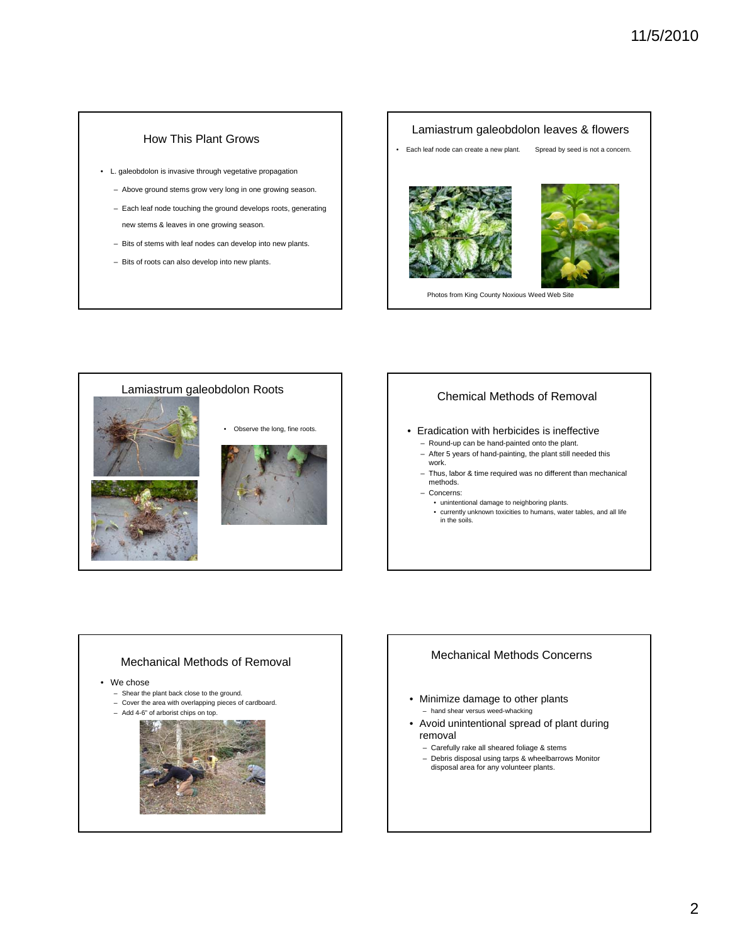## How This Plant Grows

- L. galeobdolon is invasive through vegetative propagation
	- Above ground stems grow very long in one growing season.
	- Each leaf node touching the ground develops roots, generating new stems & leaves in one growing season.
	- Bits of stems with leaf nodes can develop into new plants.
	- Bits of roots can also develop into new plants.

# Lamiastrum galeobdolon leaves & flowers • Each leaf node can create a new plant. Spread by seed is not a concern. Photos from King County Noxious Weed Web Site



#### Chemical Methods of Removal

#### • Eradication with herbicides is ineffective

- Round-up can be hand-painted onto the plant.
- After 5 years of hand-painting, the plant still needed this work.
- $-$  Thus, labor & time required was no different than mechanical methods.
- Concerns:
	- unintentional damage to neighboring plants.
	- currently unknown toxicities to humans, water tables, and all life in the soils.



#### Mechanical Methods Concerns

- Minimize damage to other plants – hand shear versus weed-whacking
- Avoid unintentional spread of plant during removal
	- Carefully rake all sheared foliage & stems
	- Debris disposal using tarps & wheelbarrows Monitor disposal area for any volunteer plants.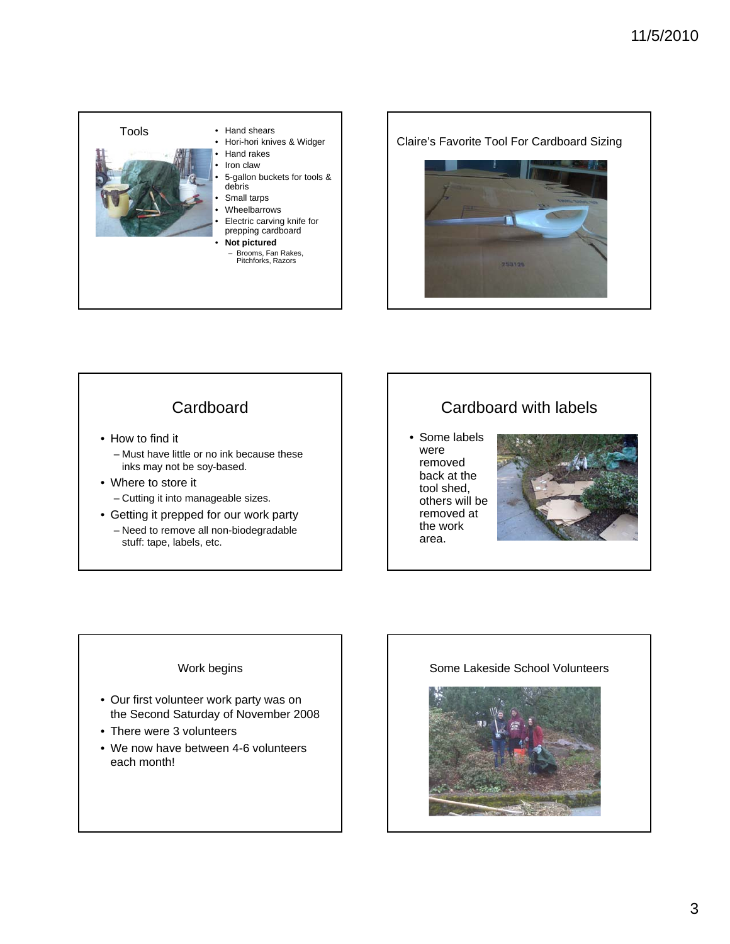

Claire's Favorite Tool For Cardboard Sizing



# **Cardboard**

- How to find it
	- Must have little or no ink because these inks may not be soy-based.
- Where to store it
	- Cutting it into manageable sizes.
- Getting it prepped for our work party – Need to remove all non-biodegradable stuff: tape, labels, etc.

# Cardboard with labels

• Some labels were removed back at the tool shed, others will be removed at the work area.



## Work begins

- Our first volunteer work party was on the Second Saturday of November 2008
- $\bullet$  There were 3 volunteers
- We now have between 4-6 volunteers each month!

### Some Lakeside School Volunteers

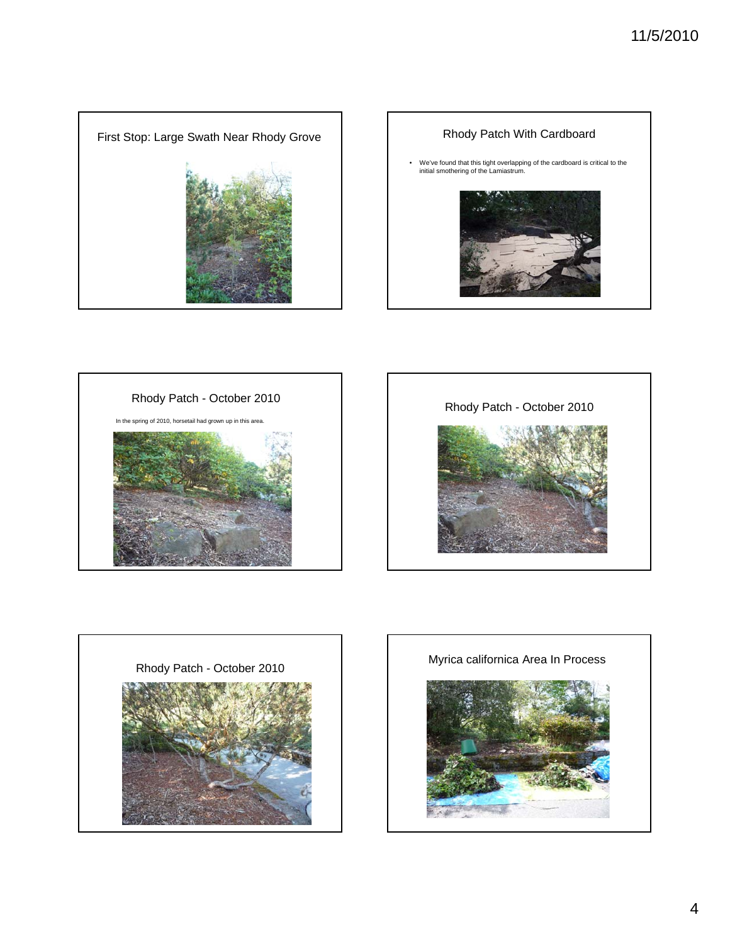









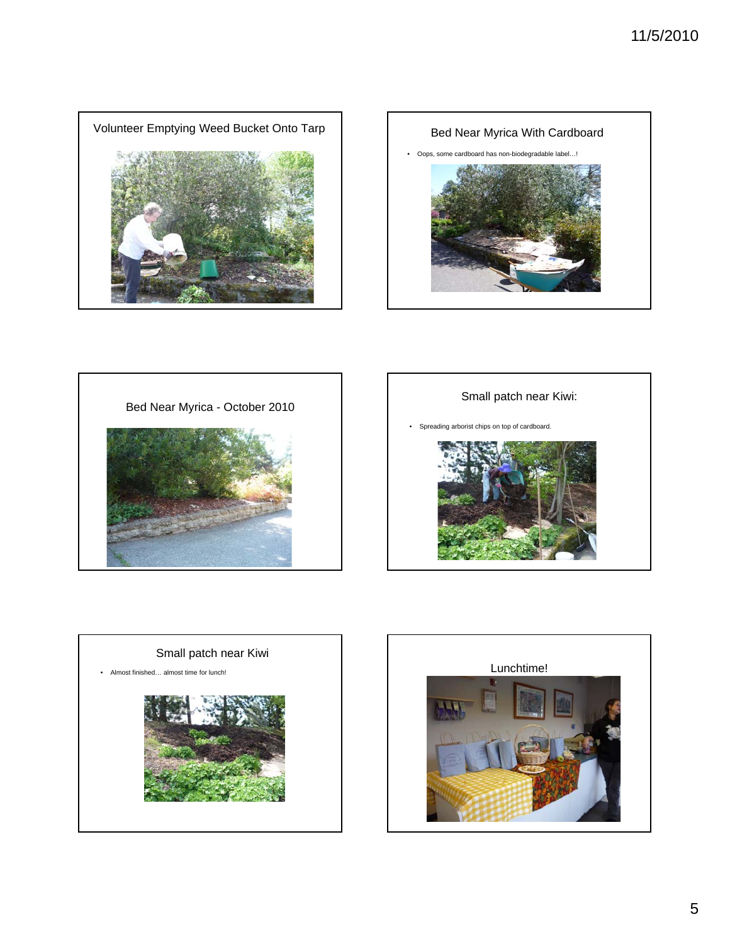









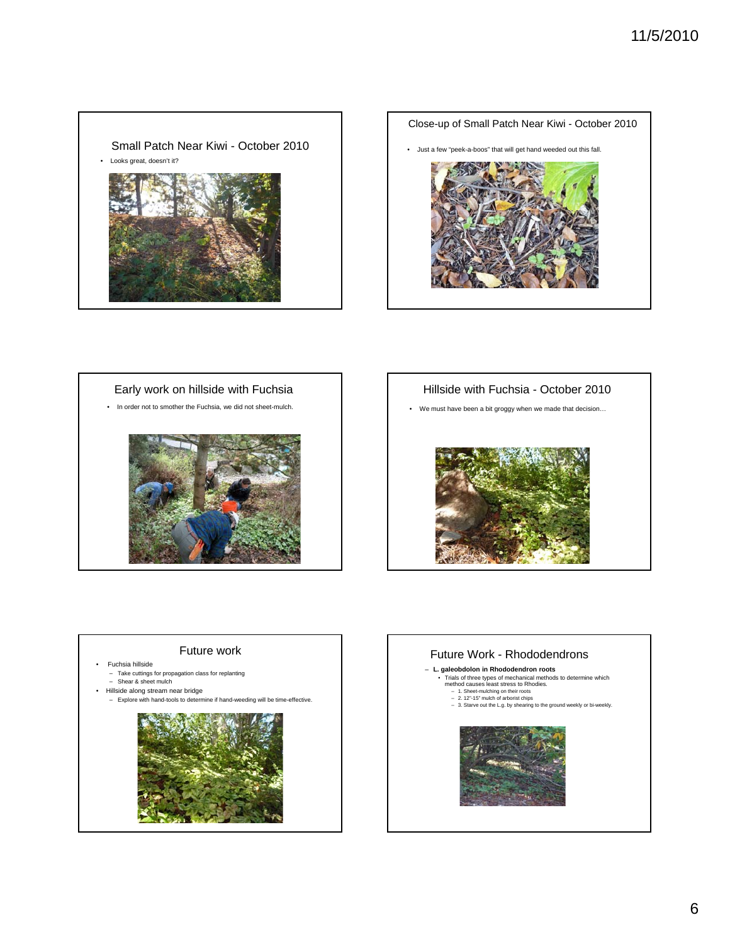## Small Patch Near Kiwi - October 2010